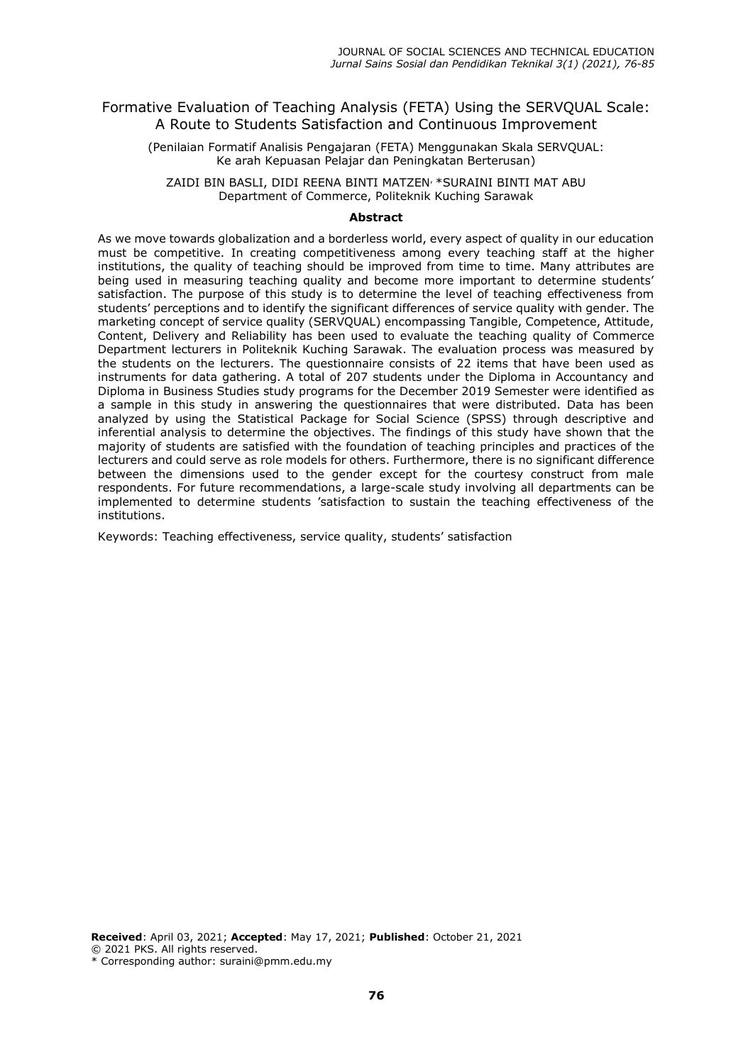## Formative Evaluation of Teaching Analysis (FETA) Using the SERVQUAL Scale: A Route to Students Satisfaction and Continuous Improvement

(Penilaian Formatif Analisis Pengajaran (FETA) Menggunakan Skala SERVQUAL: Ke arah Kepuasan Pelajar dan Peningkatan Berterusan)

ZAIDI BIN BASLI, DIDI REENA BINTI MATZEN, \*SURAINI BINTI MAT ABU Department of Commerce, Politeknik Kuching Sarawak

#### **Abstract**

As we move towards globalization and a borderless world, every aspect of quality in our education must be competitive. In creating competitiveness among every teaching staff at the higher institutions, the quality of teaching should be improved from time to time. Many attributes are being used in measuring teaching quality and become more important to determine students' satisfaction. The purpose of this study is to determine the level of teaching effectiveness from students' perceptions and to identify the significant differences of service quality with gender. The marketing concept of service quality (SERVQUAL) encompassing Tangible, Competence, Attitude, Content, Delivery and Reliability has been used to evaluate the teaching quality of Commerce Department lecturers in Politeknik Kuching Sarawak. The evaluation process was measured by the students on the lecturers. The questionnaire consists of 22 items that have been used as instruments for data gathering. A total of 207 students under the Diploma in Accountancy and Diploma in Business Studies study programs for the December 2019 Semester were identified as a sample in this study in answering the questionnaires that were distributed. Data has been analyzed by using the Statistical Package for Social Science (SPSS) through descriptive and inferential analysis to determine the objectives. The findings of this study have shown that the majority of students are satisfied with the foundation of teaching principles and practices of the lecturers and could serve as role models for others. Furthermore, there is no significant difference between the dimensions used to the gender except for the courtesy construct from male respondents. For future recommendations, a large-scale study involving all departments can be implemented to determine students 'satisfaction to sustain the teaching effectiveness of the institutions.

Keywords: Teaching effectiveness, service quality, students' satisfaction

**Received**: April 03, 2021; **Accepted**: May 17, 2021; **Published**: October 21, 2021 © 2021 PKS. All rights reserved.

\* Corresponding author: suraini@pmm.edu.my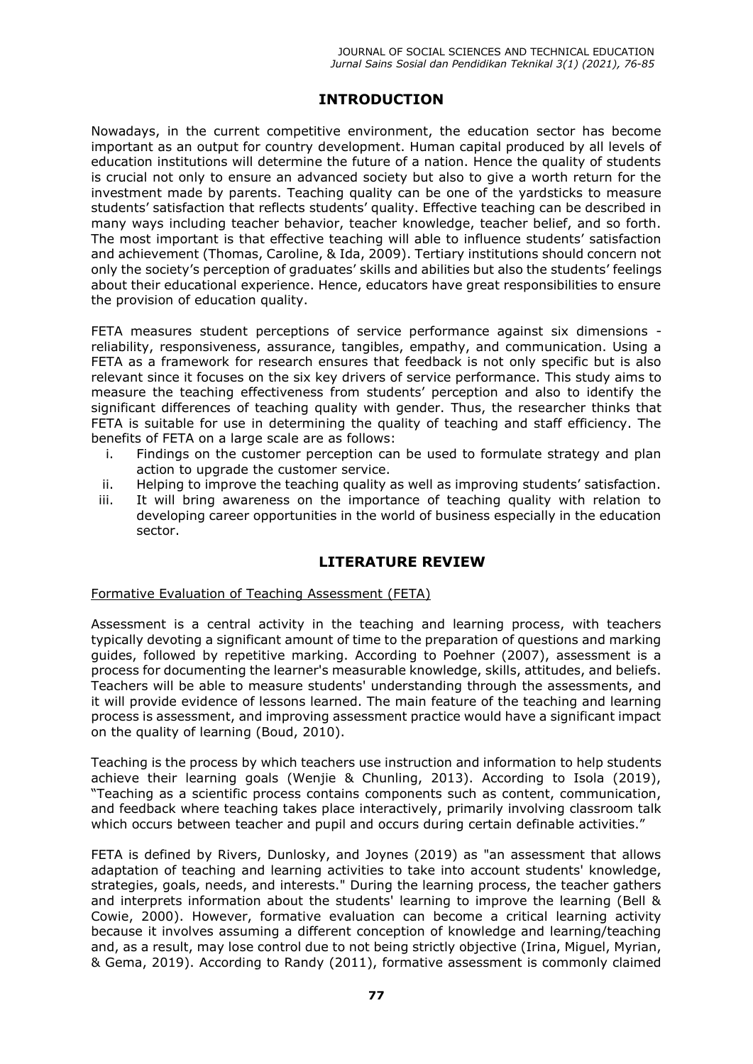# **INTRODUCTION**

Nowadays, in the current competitive environment, the education sector has become important as an output for country development. Human capital produced by all levels of education institutions will determine the future of a nation. Hence the quality of students is crucial not only to ensure an advanced society but also to give a worth return for the investment made by parents. Teaching quality can be one of the yardsticks to measure students' satisfaction that reflects students' quality. Effective teaching can be described in many ways including teacher behavior, teacher knowledge, teacher belief, and so forth. The most important is that effective teaching will able to influence students' satisfaction and achievement (Thomas, Caroline, & Ida, 2009). Tertiary institutions should concern not only the society's perception of graduates' skills and abilities but also the students' feelings about their educational experience. Hence, educators have great responsibilities to ensure the provision of education quality.

FETA measures student perceptions of service performance against six dimensions reliability, responsiveness, assurance, tangibles, empathy, and communication. Using a FETA as a framework for research ensures that feedback is not only specific but is also relevant since it focuses on the six key drivers of service performance. This study aims to measure the teaching effectiveness from students' perception and also to identify the significant differences of teaching quality with gender. Thus, the researcher thinks that FETA is suitable for use in determining the quality of teaching and staff efficiency. The benefits of FETA on a large scale are as follows:

- i. Findings on the customer perception can be used to formulate strategy and plan action to upgrade the customer service.
- ii. Helping to improve the teaching quality as well as improving students' satisfaction.
- iii. It will bring awareness on the importance of teaching quality with relation to developing career opportunities in the world of business especially in the education sector.

## **LITERATURE REVIEW**

## Formative Evaluation of Teaching Assessment (FETA)

Assessment is a central activity in the teaching and learning process, with teachers typically devoting a significant amount of time to the preparation of questions and marking guides, followed by repetitive marking. According to Poehner (2007), assessment is a process for documenting the learner's measurable knowledge, skills, attitudes, and beliefs. Teachers will be able to measure students' understanding through the assessments, and it will provide evidence of lessons learned. The main feature of the teaching and learning process is assessment, and improving assessment practice would have a significant impact on the quality of learning (Boud, 2010).

Teaching is the process by which teachers use instruction and information to help students achieve their learning goals (Wenjie & Chunling, 2013). According to Isola (2019), "Teaching as a scientific process contains components such as content, communication, and feedback where teaching takes place interactively, primarily involving classroom talk which occurs between teacher and pupil and occurs during certain definable activities."

FETA is defined by Rivers, Dunlosky, and Joynes (2019) as "an assessment that allows adaptation of teaching and learning activities to take into account students' knowledge, strategies, goals, needs, and interests." During the learning process, the teacher gathers and interprets information about the students' learning to improve the learning (Bell & Cowie, 2000). However, formative evaluation can become a critical learning activity because it involves assuming a different conception of knowledge and learning/teaching and, as a result, may lose control due to not being strictly objective (Irina, Miguel, Myrian, & Gema, 2019). According to Randy (2011), formative assessment is commonly claimed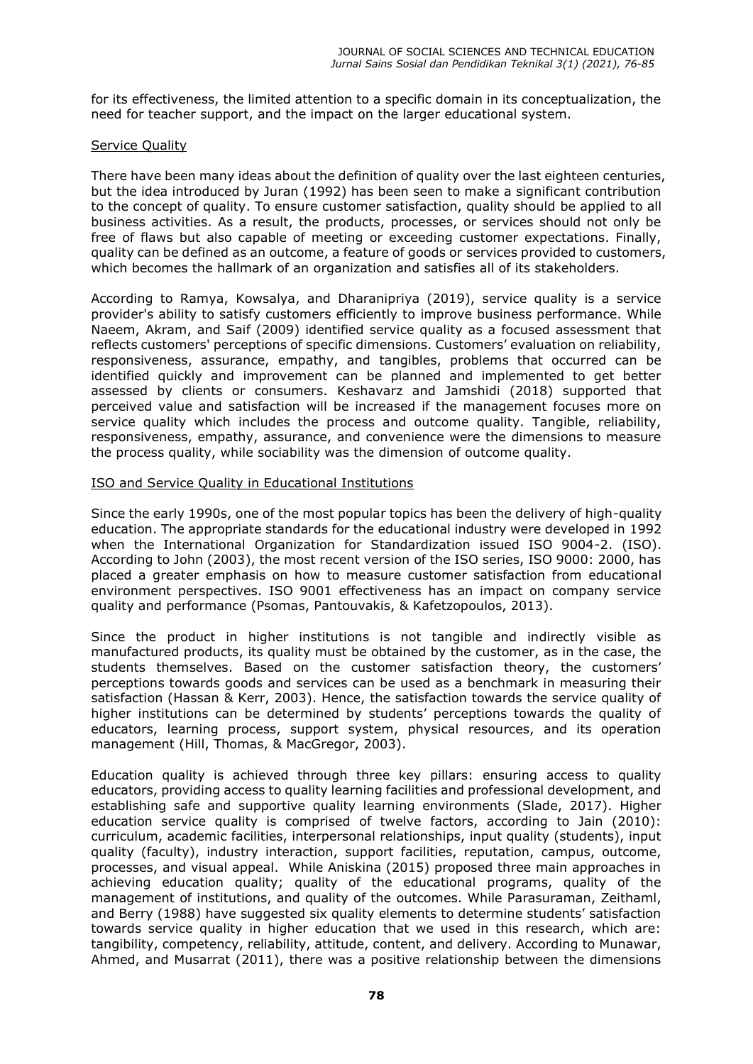for its effectiveness, the limited attention to a specific domain in its conceptualization, the need for teacher support, and the impact on the larger educational system.

#### Service Quality

There have been many ideas about the definition of quality over the last eighteen centuries, but the idea introduced by Juran (1992) has been seen to make a significant contribution to the concept of quality. To ensure customer satisfaction, quality should be applied to all business activities. As a result, the products, processes, or services should not only be free of flaws but also capable of meeting or exceeding customer expectations. Finally, quality can be defined as an outcome, a feature of goods or services provided to customers, which becomes the hallmark of an organization and satisfies all of its stakeholders.

According to Ramya, Kowsalya, and Dharanipriya (2019), service quality is a service provider's ability to satisfy customers efficiently to improve business performance. While Naeem, Akram, and Saif (2009) identified service quality as a focused assessment that reflects customers' perceptions of specific dimensions. Customers' evaluation on reliability, responsiveness, assurance, empathy, and tangibles, problems that occurred can be identified quickly and improvement can be planned and implemented to get better assessed by clients or consumers. Keshavarz and Jamshidi (2018) supported that perceived value and satisfaction will be increased if the management focuses more on service quality which includes the process and outcome quality. Tangible, reliability, responsiveness, empathy, assurance, and convenience were the dimensions to measure the process quality, while sociability was the dimension of outcome quality.

### ISO and Service Quality in Educational Institutions

Since the early 1990s, one of the most popular topics has been the delivery of high-quality education. The appropriate standards for the educational industry were developed in 1992 when the International Organization for Standardization issued ISO 9004-2. (ISO). According to John (2003), the most recent version of the ISO series, ISO 9000: 2000, has placed a greater emphasis on how to measure customer satisfaction from educational environment perspectives. ISO 9001 effectiveness has an impact on company service quality and performance (Psomas, Pantouvakis, & Kafetzopoulos, 2013).

Since the product in higher institutions is not tangible and indirectly visible as manufactured products, its quality must be obtained by the customer, as in the case, the students themselves. Based on the customer satisfaction theory, the customers' perceptions towards goods and services can be used as a benchmark in measuring their satisfaction (Hassan & Kerr, 2003). Hence, the satisfaction towards the service quality of higher institutions can be determined by students' perceptions towards the quality of educators, learning process, support system, physical resources, and its operation management (Hill, Thomas, & MacGregor, 2003).

Education quality is achieved through three key pillars: ensuring access to quality educators, providing access to quality learning facilities and professional development, and establishing safe and supportive quality learning environments (Slade, 2017). Higher education service quality is comprised of twelve factors, according to Jain (2010): curriculum, academic facilities, interpersonal relationships, input quality (students), input quality (faculty), industry interaction, support facilities, reputation, campus, outcome, processes, and visual appeal. While Aniskina (2015) proposed three main approaches in achieving education quality; quality of the educational programs, quality of the management of institutions, and quality of the outcomes. While Parasuraman, Zeithaml, and Berry (1988) have suggested six quality elements to determine students' satisfaction towards service quality in higher education that we used in this research, which are: tangibility, competency, reliability, attitude, content, and delivery. According to Munawar, Ahmed, and Musarrat (2011), there was a positive relationship between the dimensions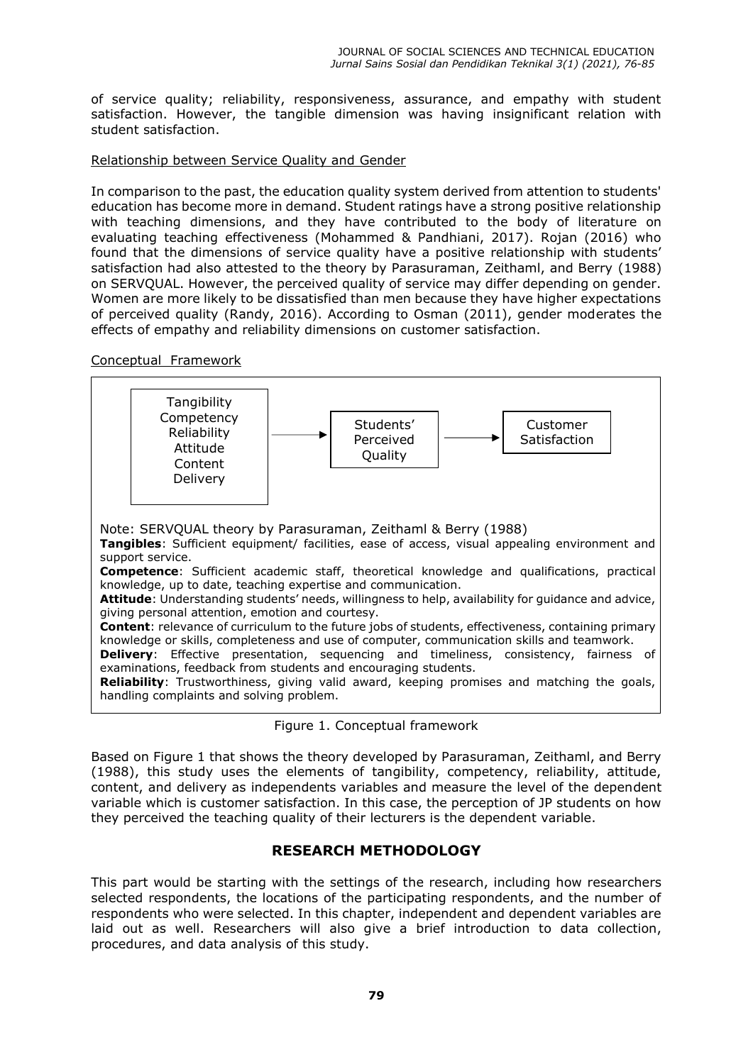of service quality; reliability, responsiveness, assurance, and empathy with student satisfaction. However, the tangible dimension was having insignificant relation with student satisfaction.

### Relationship between Service Quality and Gender

In comparison to the past, the education quality system derived from attention to students' education has become more in demand. Student ratings have a strong positive relationship with teaching dimensions, and they have contributed to the body of literature on evaluating teaching effectiveness (Mohammed & Pandhiani, 2017). Rojan (2016) who found that the dimensions of service quality have a positive relationship with students' satisfaction had also attested to the theory by Parasuraman, Zeithaml, and Berry (1988) on SERVQUAL. However, the perceived quality of service may differ depending on gender. Women are more likely to be dissatisfied than men because they have higher expectations of perceived quality (Randy, 2016). According to Osman (2011), gender moderates the effects of empathy and reliability dimensions on customer satisfaction.

Conceptual Framework





Based on Figure 1 that shows the theory developed by Parasuraman, Zeithaml, and Berry (1988), this study uses the elements of tangibility, competency, reliability, attitude, content, and delivery as independents variables and measure the level of the dependent variable which is customer satisfaction. In this case, the perception of JP students on how they perceived the teaching quality of their lecturers is the dependent variable.

## **RESEARCH METHODOLOGY**

This part would be starting with the settings of the research, including how researchers selected respondents, the locations of the participating respondents, and the number of respondents who were selected. In this chapter, independent and dependent variables are laid out as well. Researchers will also give a brief introduction to data collection, procedures, and data analysis of this study.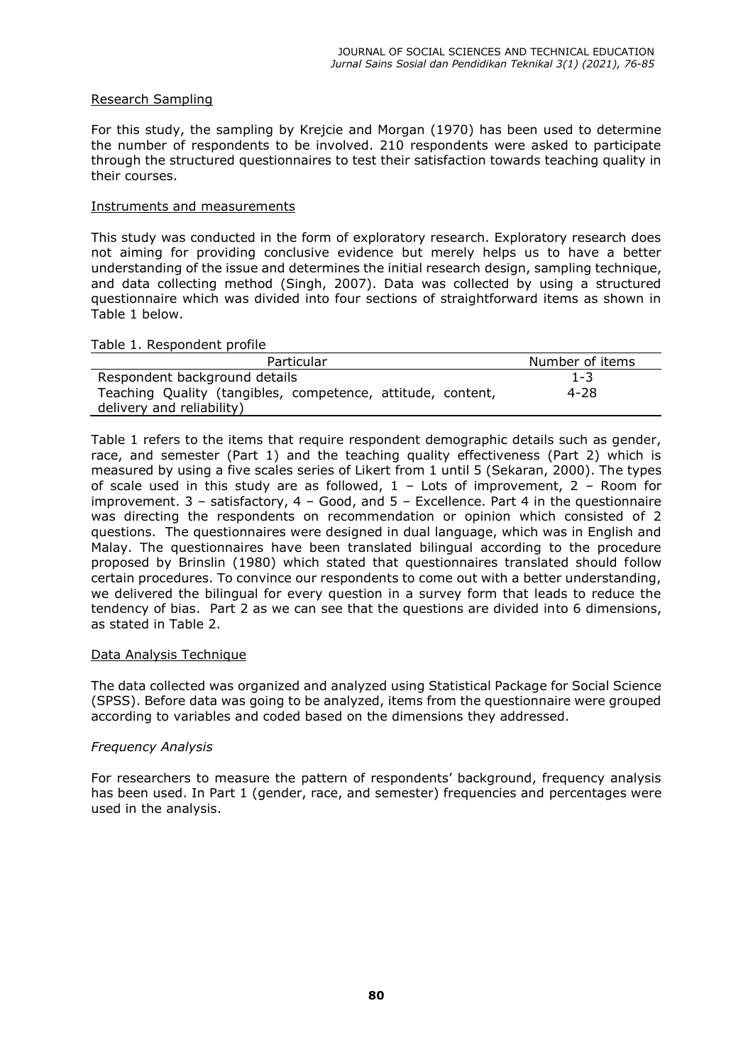### Research Sampling

For this study, the sampling by Krejcie and Morgan (1970) has been used to determine the number of respondents to be involved. 210 respondents were asked to participate through the structured questionnaires to test their satisfaction towards teaching quality in their courses.

#### Instruments and measurements

This study was conducted in the form of exploratory research. Exploratory research does not aiming for providing conclusive evidence but merely helps us to have a better understanding of the issue and determines the initial research design, sampling technique, and data collecting method (Singh, 2007). Data was collected by using a structured questionnaire which was divided into four sections of straightforward items as shown in Table 1 below.

#### Table 1. Respondent profile

| Particular                                                  | Number of items |  |  |
|-------------------------------------------------------------|-----------------|--|--|
| Respondent background details                               | $1 - 3$         |  |  |
| Teaching Quality (tangibles, competence, attitude, content, | 4-28            |  |  |
| delivery and reliability)                                   |                 |  |  |

Table 1 refers to the items that require respondent demographic details such as gender, race, and semester (Part 1) and the teaching quality effectiveness (Part 2) which is measured by using a five scales series of Likert from 1 until 5 (Sekaran, 2000). The types of scale used in this study are as followed,  $1 -$  Lots of improvement,  $2 -$  Room for improvement. 3 – satisfactory, 4 – Good, and 5 – Excellence. Part 4 in the questionnaire was directing the respondents on recommendation or opinion which consisted of 2 questions. The questionnaires were designed in dual language, which was in English and Malay. The questionnaires have been translated bilingual according to the procedure proposed by Brinslin (1980) which stated that questionnaires translated should follow certain procedures. To convince our respondents to come out with a better understanding, we delivered the bilingual for every question in a survey form that leads to reduce the tendency of bias. Part 2 as we can see that the questions are divided into 6 dimensions, as stated in Table 2.

#### Data Analysis Technique

The data collected was organized and analyzed using Statistical Package for Social Science (SPSS). Before data was going to be analyzed, items from the questionnaire were grouped according to variables and coded based on the dimensions they addressed.

#### *Frequency Analysis*

For researchers to measure the pattern of respondents' background, frequency analysis has been used. In Part 1 (gender, race, and semester) frequencies and percentages were used in the analysis.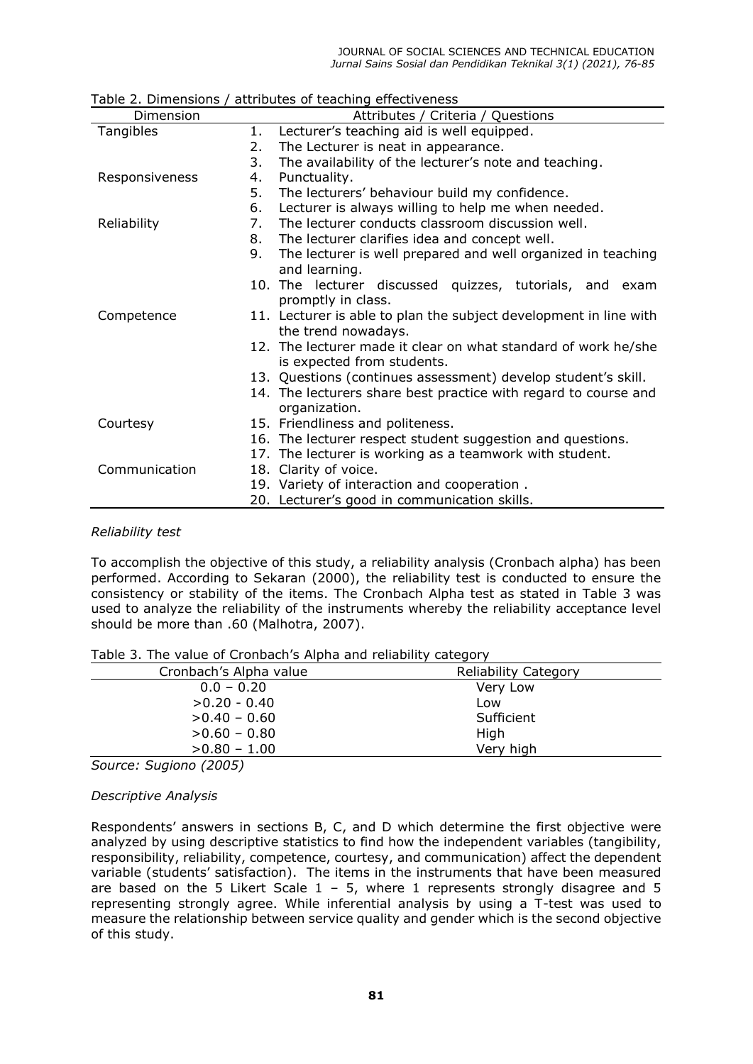| TODIC 2. DIITICITSIONS |    | attributes or teaching enectiveness                               |  |  |
|------------------------|----|-------------------------------------------------------------------|--|--|
| Dimension              |    | Attributes / Criteria / Questions                                 |  |  |
| Tangibles              | 1. | Lecturer's teaching aid is well equipped.                         |  |  |
|                        | 2. | The Lecturer is neat in appearance.                               |  |  |
|                        | 3. | The availability of the lecturer's note and teaching.             |  |  |
| Responsiveness         | 4. | Punctuality.                                                      |  |  |
|                        | 5. | The lecturers' behaviour build my confidence.                     |  |  |
|                        | 6. | Lecturer is always willing to help me when needed.                |  |  |
| Reliability            | 7. | The lecturer conducts classroom discussion well.                  |  |  |
|                        | 8. | The lecturer clarifies idea and concept well.                     |  |  |
|                        | 9. | The lecturer is well prepared and well organized in teaching      |  |  |
|                        |    | and learning.                                                     |  |  |
|                        |    | 10. The lecturer discussed quizzes, tutorials, and exam           |  |  |
|                        |    | promptly in class.                                                |  |  |
| Competence             |    | 11. Lecturer is able to plan the subject development in line with |  |  |
|                        |    | the trend nowadays.                                               |  |  |
|                        |    | 12. The lecturer made it clear on what standard of work he/she    |  |  |
|                        |    | is expected from students.                                        |  |  |
|                        |    | 13. Questions (continues assessment) develop student's skill.     |  |  |
|                        |    | 14. The lecturers share best practice with regard to course and   |  |  |
|                        |    | organization.                                                     |  |  |
| Courtesy               |    | 15. Friendliness and politeness.                                  |  |  |
|                        |    | 16. The lecturer respect student suggestion and questions.        |  |  |
|                        |    | 17. The lecturer is working as a teamwork with student.           |  |  |
| Communication          |    | 18. Clarity of voice.                                             |  |  |
|                        |    | 19. Variety of interaction and cooperation.                       |  |  |
|                        |    | 20. Lecturer's good in communication skills.                      |  |  |

Table 2. Dimensions / attributes of teaching effectiveness

#### *Reliability test*

To accomplish the objective of this study, a reliability analysis (Cronbach alpha) has been performed. According to Sekaran (2000), the reliability test is conducted to ensure the consistency or stability of the items. The Cronbach Alpha test as stated in Table 3 was used to analyze the reliability of the instruments whereby the reliability acceptance level should be more than .60 (Malhotra, 2007).

| Table J. The value of Crombach 3 Alpha and renablity category |                             |
|---------------------------------------------------------------|-----------------------------|
| Cronbach's Alpha value                                        | <b>Reliability Category</b> |
| $0.0 - 0.20$                                                  | Very Low                    |
| $>0.20 - 0.40$                                                | Low                         |
| $>0.40 - 0.60$                                                | Sufficient                  |
| $>0.60 - 0.80$                                                | High                        |
| $>0.80 - 1.00$                                                | Very high                   |

Table 3. The value of Cronbach's Alpha and reliability category

*Source: Sugiono (2005)*

## *Descriptive Analysis*

Respondents' answers in sections B, C, and D which determine the first objective were analyzed by using descriptive statistics to find how the independent variables (tangibility, responsibility, reliability, competence, courtesy, and communication) affect the dependent variable (students' satisfaction). The items in the instruments that have been measured are based on the 5 Likert Scale  $1 - 5$ , where 1 represents strongly disagree and 5 representing strongly agree. While inferential analysis by using a T-test was used to measure the relationship between service quality and gender which is the second objective of this study.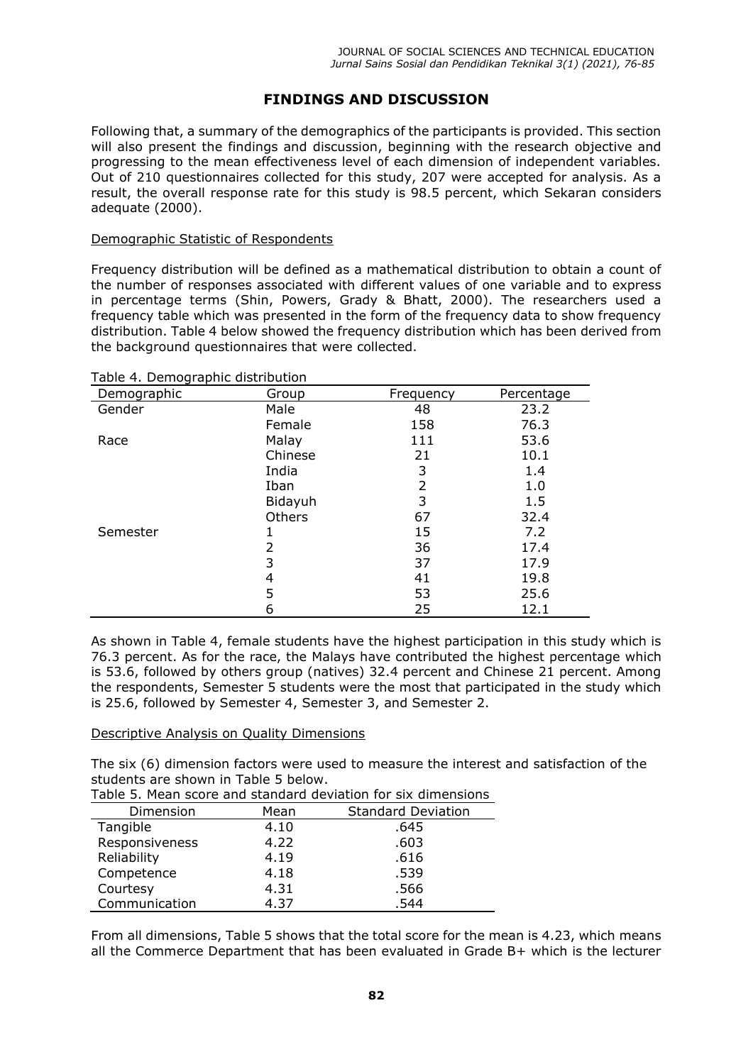# **FINDINGS AND DISCUSSION**

Following that, a summary of the demographics of the participants is provided. This section will also present the findings and discussion, beginning with the research objective and progressing to the mean effectiveness level of each dimension of independent variables. Out of 210 questionnaires collected for this study, 207 were accepted for analysis. As a result, the overall response rate for this study is 98.5 percent, which Sekaran considers adequate (2000).

### Demographic Statistic of Respondents

Frequency distribution will be defined as a mathematical distribution to obtain a count of the number of responses associated with different values of one variable and to express in percentage terms (Shin, Powers, Grady & Bhatt, 2000). The researchers used a frequency table which was presented in the form of the frequency data to show frequency distribution. Table 4 below showed the frequency distribution which has been derived from the background questionnaires that were collected.

| . abie +  beog. aprile alba ibación.<br>Demographic | Group   | Frequency | Percentage |
|-----------------------------------------------------|---------|-----------|------------|
| Gender                                              | Male    | 48        | 23.2       |
|                                                     | Female  | 158       | 76.3       |
| Race                                                | Malay   | 111       | 53.6       |
|                                                     | Chinese | 21        | 10.1       |
|                                                     | India   | 3         | 1.4        |
|                                                     | Iban    | 2         | 1.0        |
|                                                     | Bidayuh | 3         | 1.5        |
|                                                     | Others  | 67        | 32.4       |
| Semester                                            |         | 15        | 7.2        |
|                                                     | 2       | 36        | 17.4       |
|                                                     | 3       | 37        | 17.9       |
|                                                     | 4       | 41        | 19.8       |
|                                                     | 5       | 53        | 25.6       |
|                                                     | 6       | 25        | 12.1       |

Table 4. Demographic distribution

As shown in Table 4, female students have the highest participation in this study which is 76.3 percent. As for the race, the Malays have contributed the highest percentage which is 53.6, followed by others group (natives) 32.4 percent and Chinese 21 percent. Among the respondents, Semester 5 students were the most that participated in the study which is 25.6, followed by Semester 4, Semester 3, and Semester 2.

#### Descriptive Analysis on Quality Dimensions

The six (6) dimension factors were used to measure the interest and satisfaction of the students are shown in Table 5 below.

| Table 5. Mean score and standard deviation for six dimensions |  |
|---------------------------------------------------------------|--|
|---------------------------------------------------------------|--|

| Dimension      | Mean | <b>Standard Deviation</b> |
|----------------|------|---------------------------|
| Tangible       | 4.10 | .645                      |
| Responsiveness | 4.22 | .603                      |
| Reliability    | 4.19 | .616                      |
| Competence     | 4.18 | .539                      |
| Courtesy       | 4.31 | .566                      |
| Communication  | 4.37 | .544                      |

From all dimensions, Table 5 shows that the total score for the mean is 4.23, which means all the Commerce Department that has been evaluated in Grade B+ which is the lecturer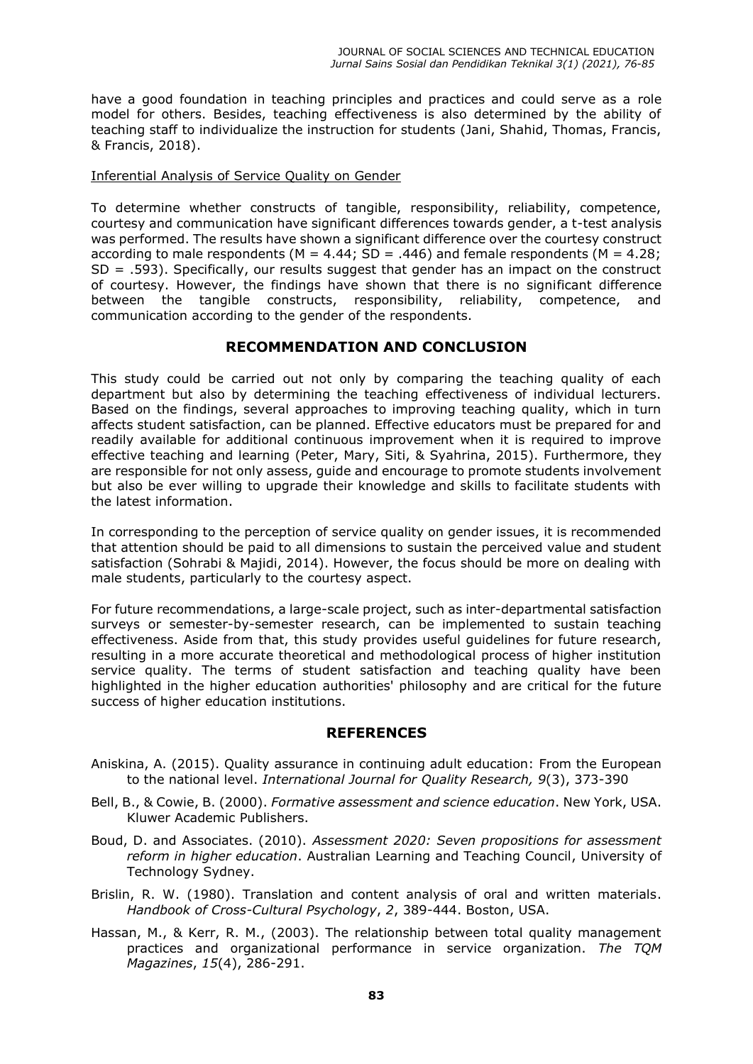have a good foundation in teaching principles and practices and could serve as a role model for others. Besides, teaching effectiveness is also determined by the ability of teaching staff to individualize the instruction for students (Jani, Shahid, Thomas, Francis, & Francis, 2018).

Inferential Analysis of Service Quality on Gender

To determine whether constructs of tangible, responsibility, reliability, competence, courtesy and communication have significant differences towards gender, a t-test analysis was performed. The results have shown a significant difference over the courtesy construct according to male respondents ( $M = 4.44$ ; SD = .446) and female respondents ( $M = 4.28$ ; SD = .593). Specifically, our results suggest that gender has an impact on the construct of courtesy. However, the findings have shown that there is no significant difference between the tangible constructs, responsibility, reliability, competence, and communication according to the gender of the respondents.

## **RECOMMENDATION AND CONCLUSION**

This study could be carried out not only by comparing the teaching quality of each department but also by determining the teaching effectiveness of individual lecturers. Based on the findings, several approaches to improving teaching quality, which in turn affects student satisfaction, can be planned. Effective educators must be prepared for and readily available for additional continuous improvement when it is required to improve effective teaching and learning (Peter, Mary, Siti, & Syahrina, 2015). Furthermore, they are responsible for not only assess, guide and encourage to promote students involvement but also be ever willing to upgrade their knowledge and skills to facilitate students with the latest information.

In corresponding to the perception of service quality on gender issues, it is recommended that attention should be paid to all dimensions to sustain the perceived value and student satisfaction (Sohrabi & Majidi, 2014). However, the focus should be more on dealing with male students, particularly to the courtesy aspect.

For future recommendations, a large-scale project, such as inter-departmental satisfaction surveys or semester-by-semester research, can be implemented to sustain teaching effectiveness. Aside from that, this study provides useful guidelines for future research, resulting in a more accurate theoretical and methodological process of higher institution service quality. The terms of student satisfaction and teaching quality have been highlighted in the higher education authorities' philosophy and are critical for the future success of higher education institutions.

## **REFERENCES**

- Aniskina, A. (2015). Quality assurance in continuing adult education: From the European to the national level. *International Journal for Quality Research, 9*(3), 373-390
- Bell, B., & Cowie, B. (2000). *Formative assessment and science education*. New York, USA. Kluwer Academic Publishers.
- Boud, D. and Associates. (2010). *Assessment 2020: Seven propositions for assessment reform in higher education*. Australian Learning and Teaching Council, University of Technology Sydney.
- Brislin, R. W. (1980). Translation and content analysis of oral and written materials. *Handbook of Cross-Cultural Psychology*, *2*, 389-444. Boston, USA.
- Hassan, M., & Kerr, R. M., (2003). The relationship between total quality management practices and organizational performance in service organization. *The TQM Magazines*, *15*(4), 286-291.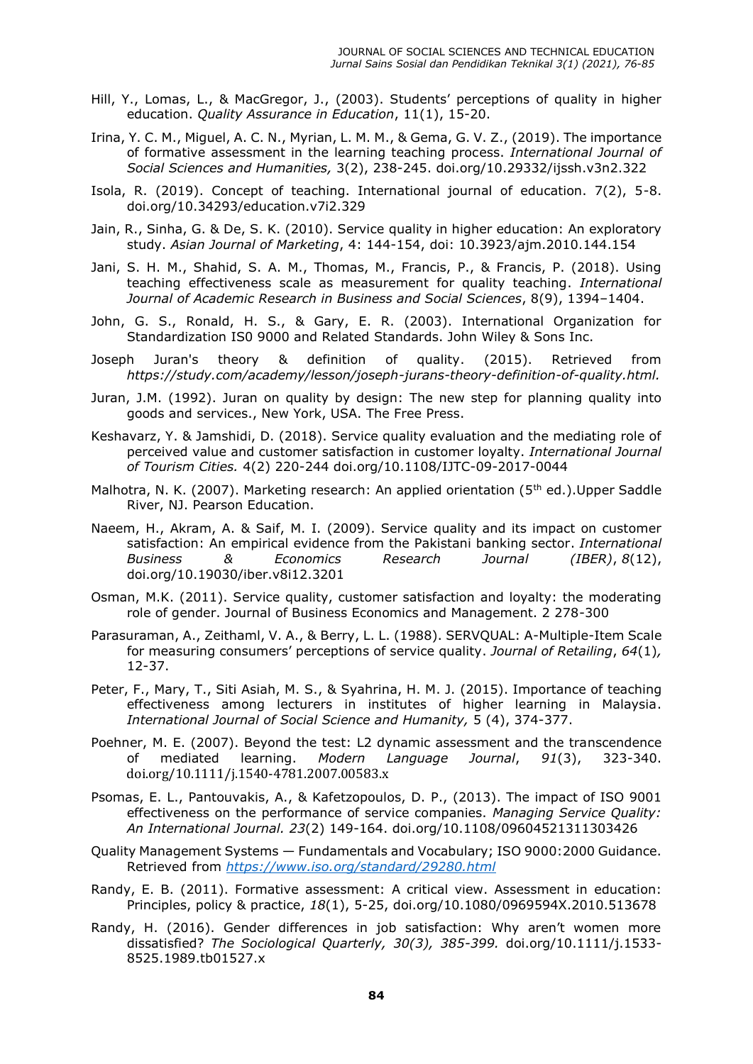- Hill, Y., Lomas, L., & MacGregor, J., (2003). Students' perceptions of quality in higher education. *Quality Assurance in Education*, 11(1), 15-20.
- Irina, Y. C. M., Miguel, A. C. N., Myrian, L. M. M., & Gema, G. V. Z., (2019). The importance of formative assessment in the learning teaching process. *International Journal of Social Sciences and Humanities,* 3(2), 238-245. [doi.org/10.29332/ijssh.v3n2.322](about:blank)
- Isola, R. (2019). Concept of teaching. International journal of education. 7(2), 5-8. doi.org/10.34293/education.v7i2.329
- Jain, R., Sinha, G. & De, S. K. (2010). Service quality in higher education: An exploratory study. *Asian Journal of Marketing*, 4: 144-154, doi: 10.3923/ajm.2010.144.154
- Jani, S. H. M., Shahid, S. A. M., Thomas, M., Francis, P., & Francis, P. (2018). Using teaching effectiveness scale as measurement for quality teaching. *International Journal of Academic Research in Business and Social Sciences*, 8(9), 1394–1404.
- John, G. S., Ronald, H. S., & Gary, E. R. (2003). International Organization for Standardization IS0 9000 and Related Standards. John Wiley & Sons Inc.
- Joseph Juran's theory & definition of quality. (2015). Retrieved from *[https://study.com/academy/lesson/joseph-jurans-theory-definition-of-quality.html.](about:blank)*
- Juran, J.M. (1992). Juran on quality by design: The new step for planning quality into goods and services., New York, USA. The Free Press.
- Keshavarz, Y. & Jamshidi, D. (2018). Service quality evaluation and the mediating role of perceived value and customer satisfaction in customer loyalty. *International Journal of Tourism Cities.* 4(2) 220-244 doi.org/10.1108/IJTC-09-2017-0044
- Malhotra, N. K. (2007). Marketing research: An applied orientation (5<sup>th</sup> ed.). Upper Saddle River, NJ. Pearson Education.
- Naeem, H., Akram, A. & Saif, M. I. (2009). Service quality and its impact on customer satisfaction: An empirical evidence from the Pakistani banking sector. *International Business & Economics Research Journal (IBER)*, *8*(12), [doi.org/10.19030/iber.v8i12.3201](about:blank)
- Osman, M.K. (2011). Service quality, customer satisfaction and loyalty: the moderating role of gender. Journal of Business Economics and Management. 2 278-300
- Parasuraman, A., Zeithaml, V. A., & Berry, L. L. (1988). SERVQUAL: A-Multiple-Item Scale for measuring consumers' perceptions of service quality. *Journal of Retailing*, *64*(1)*,*  12-37.
- Peter, F., Mary, T., Siti Asiah, M. S., & Syahrina, H. M. J. (2015). Importance of teaching effectiveness among lecturers in institutes of higher learning in Malaysia. *International Journal of Social Science and Humanity,* 5 (4), 374-377.
- Poehner, M. E. (2007). Beyond the test: L2 dynamic assessment and the transcendence of mediated learning. *Modern Language Journal*, *91*(3), 323-340. [doi.org/10.1111/j.1540-4781.2007.00583.x](about:blank)
- Psomas, E. L., Pantouvakis, A., & Kafetzopoulos, D. P., (2013). The impact of ISO 9001 effectiveness on the performance of service companies. *Managing Service Quality: An International Journal. 23*(2) 149-164. doi.org/10.1108/09604521311303426
- Quality Management Systems Fundamentals and Vocabulary; ISO 9000:2000 Guidance. Retrieved from *[https://www.iso.org/standard/29280.html](about:blank)*
- Randy, E. B. (2011). Formative assessment: A critical view. Assessment in education: Principles, policy & practice, *18*(1), 5-25, doi.org/10.1080/0969594X.2010.513678
- Randy, H. (2016). Gender differences in job satisfaction: Why aren't women more dissatisfied? *The Sociological Quarterly, 30(3), 385-399.* doi.org/10.1111/j.1533- 8525.1989.tb01527.x